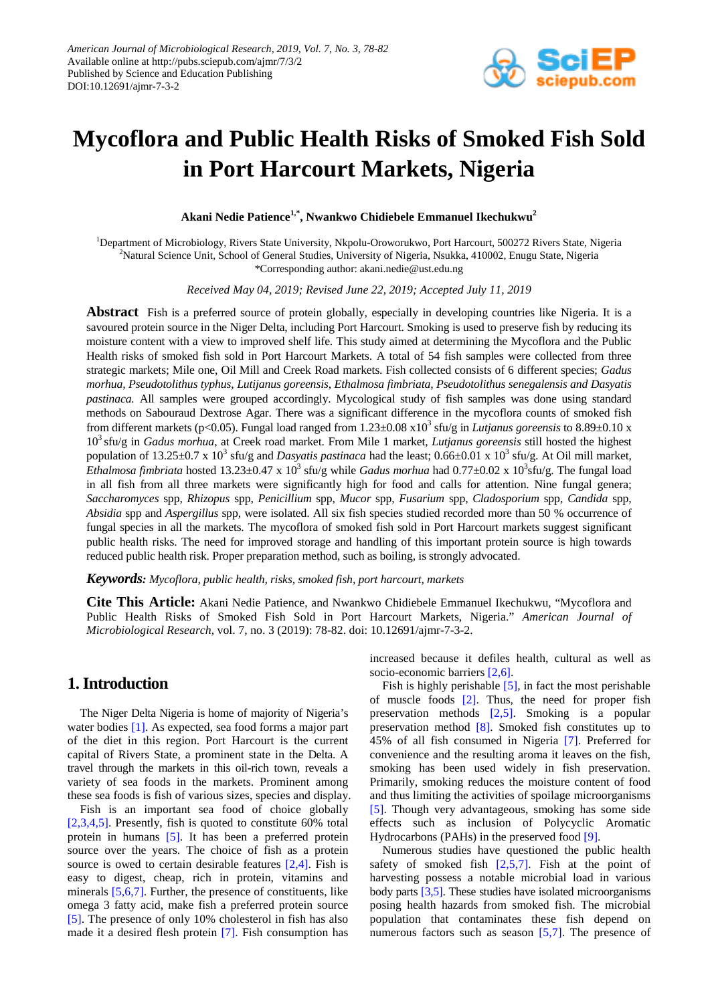

# **Mycoflora and Public Health Risks of Smoked Fish Sold in Port Harcourt Markets, Nigeria**

**Akani Nedie Patience1,\* , Nwankwo Chidiebele Emmanuel Ikechukwu<sup>2</sup>**

<sup>1</sup>Department of Microbiology, Rivers State University, Nkpolu-Oroworukwo, Port Harcourt, 500272 Rivers State, Nigeria <sup>2</sup>Natural Science Unit, School of General Studies, University of Nigeria, Nsukka, 410002, Enugu State, Nigeria \*Corresponding author: akani.nedie@ust.edu.ng

*Received May 04, 2019; Revised June 22, 2019; Accepted July 11, 2019*

**Abstract** Fish is a preferred source of protein globally, especially in developing countries like Nigeria. It is a savoured protein source in the Niger Delta, including Port Harcourt. Smoking is used to preserve fish by reducing its moisture content with a view to improved shelf life. This study aimed at determining the Mycoflora and the Public Health risks of smoked fish sold in Port Harcourt Markets. A total of 54 fish samples were collected from three strategic markets; Mile one, Oil Mill and Creek Road markets. Fish collected consists of 6 different species; *Gadus morhua, Pseudotolithus typhus*, *Lutijanus goreensis, Ethalmosa fimbriata, Pseudotolithus senegalensis and Dasyatis pastinaca.* All samples were grouped accordingly. Mycological study of fish samples was done using standard methods on Sabouraud Dextrose Agar. There was a significant difference in the mycoflora counts of smoked fish from different markets (p<0.05). Fungal load ranged from  $1.23\pm0.08 \times 10^3$  sfu/g in *Lutianus goreensis* to 8.89 $\pm$ 0.10 x 103 sfu/g in *Gadus morhua*, at Creek road market. From Mile 1 market, *Lutjanus goreensis* still hosted the highest population of 13.25±0.7 x 10<sup>3</sup> sfu/g and *Dasyatis pastinaca* had the least;  $0.66\pm0.01 \times 10^3$  sfu/g. At Oil mill market, *Ethalmosa fimbriata* hosted 13.23±0.47 x 10<sup>3</sup> sfu/g while *Gadus morhua* had 0.77±0.02 x 10<sup>3</sup>sfu/g. The fungal load in all fish from all three markets were significantly high for food and calls for attention. Nine fungal genera; *Saccharomyces* spp, *Rhizopus* spp, *Penicillium* spp, *Mucor* spp, *Fusarium* spp, *Cladosporium* spp, *Candida* spp, *Absidia* spp and *Aspergillus* spp, were isolated. All six fish species studied recorded more than 50 % occurrence of fungal species in all the markets. The mycoflora of smoked fish sold in Port Harcourt markets suggest significant public health risks. The need for improved storage and handling of this important protein source is high towards reduced public health risk. Proper preparation method, such as boiling, is strongly advocated.

*Keywords: Mycoflora, public health, risks, smoked fish, port harcourt, markets*

**Cite This Article:** Akani Nedie Patience, and Nwankwo Chidiebele Emmanuel Ikechukwu, "Mycoflora and Public Health Risks of Smoked Fish Sold in Port Harcourt Markets, Nigeria." *American Journal of Microbiological Research*, vol. 7, no. 3 (2019): 78-82. doi: 10.12691/ajmr-7-3-2.

# **1. Introduction**

The Niger Delta Nigeria is home of majority of Nigeria's water bodies [\[1\].](#page-3-0) As expected, sea food forms a major part of the diet in this region. Port Harcourt is the current capital of Rivers State, a prominent state in the Delta. A travel through the markets in this oil-rich town, reveals a variety of sea foods in the markets. Prominent among these sea foods is fish of various sizes, species and display.

Fish is an important sea food of choice globally [\[2,3,4,5\].](#page-4-0) Presently, fish is quoted to constitute 60% total protein in humans [\[5\].](#page-4-1) It has been a preferred protein source over the years. The choice of fish as a protein source is owed to certain desirable features  $[2,4]$ . Fish is easy to digest, cheap, rich in protein, vitamins and minerals [\[5,6,7\].](#page-4-1) Further, the presence of constituents, like omega 3 fatty acid, make fish a preferred protein source [\[5\].](#page-4-1) The presence of only 10% cholesterol in fish has also made it a desired flesh protein [\[7\].](#page-4-2) Fish consumption has

increased because it defiles health, cultural as well as socio-economic barriers [\[2,6\].](#page-4-0)

Fish is highly perishable [\[5\],](#page-4-1) in fact the most perishable of muscle foods  $[2]$ . Thus, the need for proper fish preservation methods [\[2,5\].](#page-4-0) Smoking is a popular preservation method [\[8\].](#page-4-3) Smoked fish constitutes up to 45% of all fish consumed in Nigeria [\[7\].](#page-4-2) Preferred for convenience and the resulting aroma it leaves on the fish, smoking has been used widely in fish preservation. Primarily, smoking reduces the moisture content of food and thus limiting the activities of spoilage microorganisms [\[5\].](#page-4-1) Though very advantageous, smoking has some side effects such as inclusion of Polycyclic Aromatic Hydrocarbons (PAHs) in the preserved foo[d \[9\].](#page-4-4)

Numerous studies have questioned the public health safety of smoked fish  $[2,5,7]$ . Fish at the point of harvesting possess a notable microbial load in various body parts [\[3,5\].](#page-4-5) These studies have isolated microorganisms posing health hazards from smoked fish. The microbial population that contaminates these fish depend on numerous factors such as season [\[5,7\].](#page-4-1) The presence of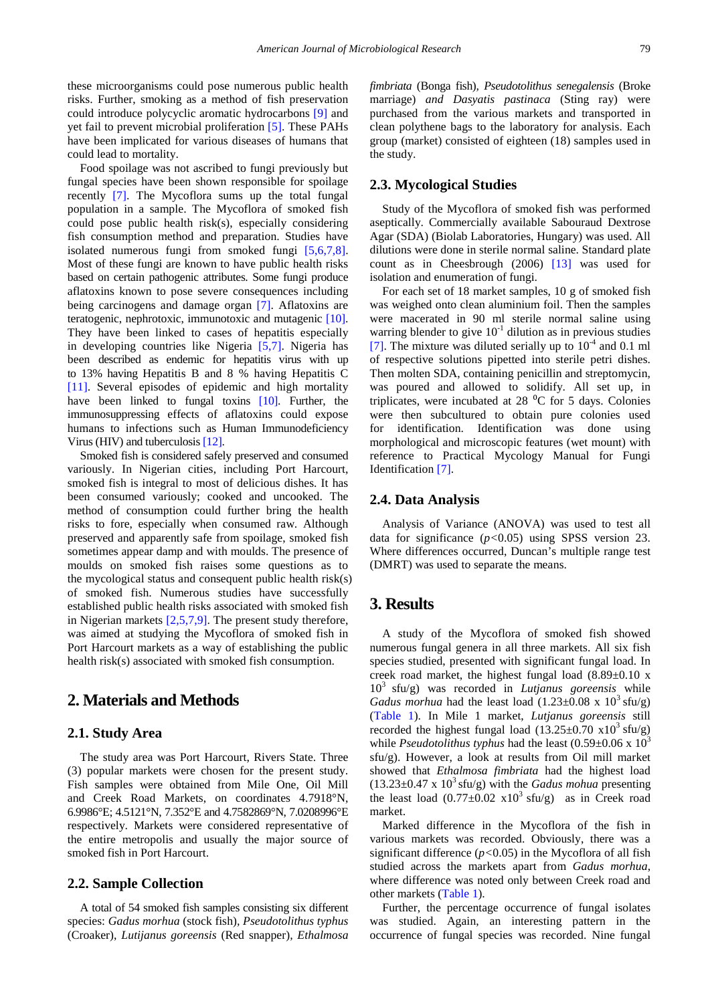these microorganisms could pose numerous public health risks. Further, smoking as a method of fish preservation could introduce polycyclic aromatic hydrocarbons [\[9\]](#page-4-4) and yet fail to prevent microbial proliferation [\[5\].](#page-4-1) These PAHs have been implicated for various diseases of humans that could lead to mortality.

Food spoilage was not ascribed to fungi previously but fungal species have been shown responsible for spoilage recently [\[7\].](#page-4-2) The Mycoflora sums up the total fungal population in a sample. The Mycoflora of smoked fish could pose public health risk(s), especially considering fish consumption method and preparation. Studies have isolated numerous fungi from smoked fungi [\[5,6,7,8\].](#page-4-1) Most of these fungi are known to have public health risks based on certain pathogenic attributes. Some fungi produce aflatoxins known to pose severe consequences including being carcinogens and damage organ [\[7\].](#page-4-2) Aflatoxins are teratogenic, nephrotoxic, immunotoxic and mutagenic [\[10\].](#page-4-6) They have been linked to cases of hepatitis especially in developing countries like Nigeria [\[5,7\].](#page-4-1) Nigeria has been described as endemic for hepatitis virus with up to 13% having Hepatitis B and 8 % having Hepatitis C [\[11\].](#page-4-7) Several episodes of epidemic and high mortality have been linked to fungal toxins [\[10\].](#page-4-6) Further, the immunosuppressing effects of aflatoxins could expose humans to infections such as Human Immunodeficiency Virus (HIV) and tuberculosi[s \[12\].](#page-4-8)

Smoked fish is considered safely preserved and consumed variously. In Nigerian cities, including Port Harcourt, smoked fish is integral to most of delicious dishes. It has been consumed variously; cooked and uncooked. The method of consumption could further bring the health risks to fore, especially when consumed raw. Although preserved and apparently safe from spoilage, smoked fish sometimes appear damp and with moulds. The presence of moulds on smoked fish raises some questions as to the mycological status and consequent public health risk(s) of smoked fish. Numerous studies have successfully established public health risks associated with smoked fish in Nigerian markets [\[2,5,7,9\].](#page-4-0) The present study therefore, was aimed at studying the Mycoflora of smoked fish in Port Harcourt markets as a way of establishing the public health risk(s) associated with smoked fish consumption.

## **2. Materials and Methods**

#### **2.1. Study Area**

The study area was Port Harcourt, Rivers State. Three (3) popular markets were chosen for the present study. Fish samples were obtained from Mile One, Oil Mill and Creek Road Markets, on coordinates 4.7918°N, 6.9986°E; 4.5121°N, 7.352°E and 4.7582869°N, 7.0208996°E respectively. Markets were considered representative of the entire metropolis and usually the major source of smoked fish in Port Harcourt.

#### **2.2. Sample Collection**

A total of 54 smoked fish samples consisting six different species: *Gadus morhua* (stock fish)*, Pseudotolithus typhus*  (Croaker), *Lutijanus goreensis* (Red snapper)*, Ethalmosa*  *fimbriata* (Bonga fish)*, Pseudotolithus senegalensis* (Broke marriage) *and Dasyatis pastinaca* (Sting ray) were purchased from the various markets and transported in clean polythene bags to the laboratory for analysis. Each group (market) consisted of eighteen (18) samples used in the study.

#### **2.3. Mycological Studies**

Study of the Mycoflora of smoked fish was performed aseptically. Commercially available Sabouraud Dextrose Agar (SDA) (Biolab Laboratories, Hungary) was used. All dilutions were done in sterile normal saline. Standard plate count as in Cheesbrough (2006) [\[13\]](#page-4-9) was used for isolation and enumeration of fungi.

For each set of 18 market samples, 10 g of smoked fish was weighed onto clean aluminium foil. Then the samples were macerated in 90 ml sterile normal saline using warring blender to give  $10^{-1}$  dilution as in previous studies [\[7\].](#page-4-2) The mixture was diluted serially up to  $10^{-4}$  and 0.1 ml of respective solutions pipetted into sterile petri dishes. Then molten SDA, containing penicillin and streptomycin, was poured and allowed to solidify. All set up, in triplicates, were incubated at  $28\text{ °C}$  for 5 days. Colonies were then subcultured to obtain pure colonies used for identification. Identification was done using morphological and microscopic features (wet mount) with reference to Practical Mycology Manual for Fungi Identificatio[n \[7\].](#page-4-2)

#### **2.4. Data Analysis**

Analysis of Variance (ANOVA) was used to test all data for significance (*p<*0.05) using SPSS version 23. Where differences occurred, Duncan's multiple range test (DMRT) was used to separate the means.

### **3. Results**

A study of the Mycoflora of smoked fish showed numerous fungal genera in all three markets. All six fish species studied, presented with significant fungal load. In creek road market, the highest fungal load  $(8.89 \pm 0.10 \text{ x})$ 103 sfu/g) was recorded in *Lutjanus goreensis* while *Gadus morhua* had the least load  $(1.23\pm0.08 \times 10^3 \text{ sftu/g})$ [\(Table 1\)](#page-2-0). In Mile 1 market, *Lutjanus goreensis* still recorded the highest fungal load  $(13.25\pm0.70 \text{ x10}^3 \text{ sftu/g})$ while *Pseudotolithus typhus* had the least (0.59±0.06 x 10<sup>3</sup> sfu/g). However, a look at results from Oil mill market showed that *Ethalmosa fimbriata* had the highest load  $(13.23\pm0.47 \times 10^3 \text{ sftu/g})$  with the *Gadus mohua* presenting the least load  $(0.77\pm0.02 \text{ x10}^3 \text{ sftu/g})$  as in Creek road market.

Marked difference in the Mycoflora of the fish in various markets was recorded. Obviously, there was a significant difference (*p<*0.05) in the Mycoflora of all fish studied across the markets apart from *Gadus morhua*, where difference was noted only between Creek road and other markets [\(Table 1\)](#page-2-0).

Further, the percentage occurrence of fungal isolates was studied. Again, an interesting pattern in the occurrence of fungal species was recorded. Nine fungal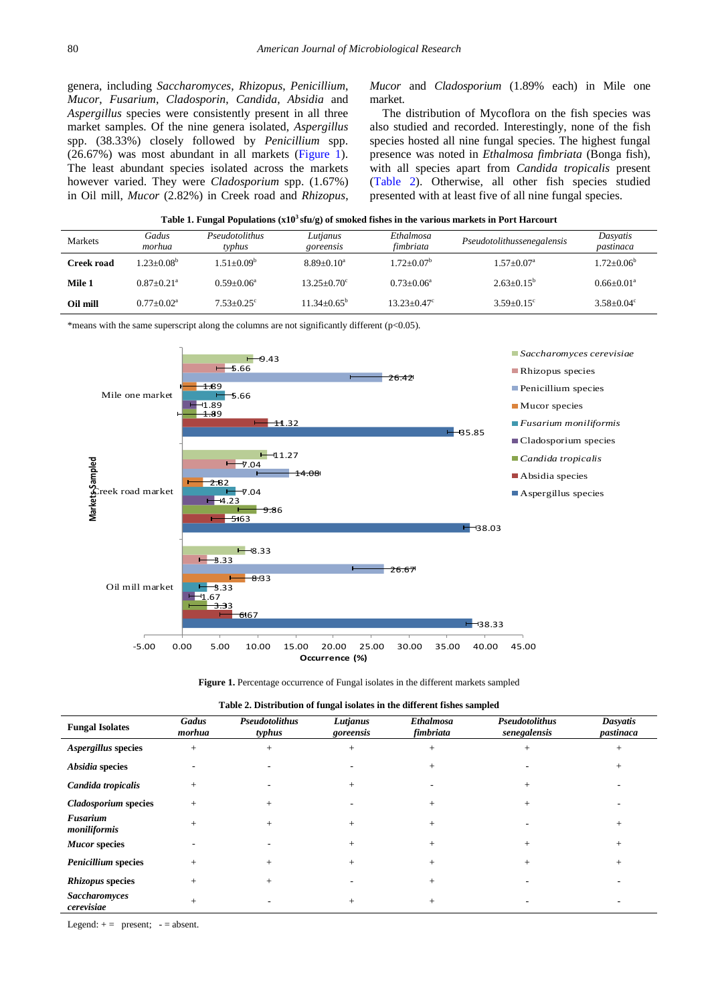genera, including *Saccharomyces*, *Rhizopus*, *Penicillium*, *Mucor*, *Fusarium*, *Cladosporin*, *Candida*, *Absidia* and *Aspergillus* species were consistently present in all three market samples. Of the nine genera isolated, *Aspergillus* spp. (38.33%) closely followed by *Penicillium* spp. (26.67%) was most abundant in all markets [\(Figure 1\)](#page-2-1). The least abundant species isolated across the markets however varied. They were *Cladosporium* spp. (1.67%) in Oil mill, *Mucor* (2.82%) in Creek road and *Rhizopus*, *Mucor* and *Cladosporium* (1.89% each) in Mile one market.

The distribution of Mycoflora on the fish species was also studied and recorded. Interestingly, none of the fish species hosted all nine fungal species. The highest fungal presence was noted in *Ethalmosa fimbriata* (Bonga fish), with all species apart from *Candida tropicalis* present [\(Table 2\)](#page-2-2). Otherwise, all other fish species studied presented with at least five of all nine fungal species.

<span id="page-2-0"></span>

| Table 1. Fungal Populations $(x10^3 \text{ sfu/g})$ of smoked fishes in the various markets in Port Harcourt |                 |                          |                       |                        |                            |                       |  |
|--------------------------------------------------------------------------------------------------------------|-----------------|--------------------------|-----------------------|------------------------|----------------------------|-----------------------|--|
| Markets                                                                                                      | Gadus<br>morhua | Pseudotolithus<br>tvphus | Lutjanus<br>goreensis | Ethalmosa<br>fimbriata | Pseudotolithussenegalensis | Dasvatis<br>pastinaca |  |
|                                                                                                              |                 |                          |                       |                        |                            |                       |  |

**Mile 1**  $0.87 \pm 0.21^{\circ}$   $0.59 \pm 0.06^{\circ}$   $13.25 \pm 0.70^{\circ}$   $0.73 \pm 0.06^{\circ}$   $2.63 \pm 0.15^{\circ}$   $0.66 \pm 0.01^{\circ}$ **Oil mill**  $0.77 \pm 0.02^a$   $7.53 \pm 0.25^c$   $11.34 \pm 0.65^b$   $13.23 \pm 0.47^c$   $3.59 \pm 0.15^c$   $3.58 \pm 0.04^c$ 

| <b>Creek road</b> | $1.23 \pm 0.08^b$ | $1.51 \pm 0.09^{\circ}$ | $8.89 \pm 0.10^a$ | $1.72 \pm 0.07^{\circ}$ | $1.57 \pm 0.07$ <sup>a</sup> | $1.72 \pm 0.06$ <sup>t</sup> |
|-------------------|-------------------|-------------------------|-------------------|-------------------------|------------------------------|------------------------------|
|-------------------|-------------------|-------------------------|-------------------|-------------------------|------------------------------|------------------------------|

\*means with the same superscript along the columns are not significantly different (p<0.05).

<span id="page-2-1"></span>

Figure 1. Percentage occurrence of Fungal isolates in the different markets sampled

| Table 2. Distribution of fungal isolates in the different fishes sampled |  |  |  |  |  |
|--------------------------------------------------------------------------|--|--|--|--|--|
|--------------------------------------------------------------------------|--|--|--|--|--|

<span id="page-2-2"></span>

| <b>Fungal Isolates</b>             | Gadus<br>morhua | <b>Pseudotolithus</b><br>typhus | Lutjanus<br>goreensis | <b>Ethalmosa</b><br>fimbriata | <b>Pseudotolithus</b><br>senegalensis | Dasyatis<br>pastinaca |
|------------------------------------|-----------------|---------------------------------|-----------------------|-------------------------------|---------------------------------------|-----------------------|
| Aspergillus species                | $+$             |                                 | $+$                   |                               |                                       |                       |
| Absidia species                    |                 |                                 |                       | $^{+}$                        |                                       |                       |
| Candida tropicalis                 | $+$             |                                 | $+$                   |                               |                                       |                       |
| <b>Cladosporium</b> species        | $+$             |                                 |                       | $^{+}$                        |                                       |                       |
| Fusarium<br>moniliformis           | $+$             |                                 | $^{+}$                | $^{+}$                        |                                       | $^+$                  |
| <b>Mucor species</b>               |                 |                                 | $\overline{+}$        |                               |                                       |                       |
| <b>Penicillium</b> species         | $+$             |                                 | $+$                   | $^{+}$                        |                                       |                       |
| <b>Rhizopus species</b>            | $+$             |                                 |                       |                               |                                       |                       |
| <b>Saccharomyces</b><br>cerevisiae | $+$             |                                 |                       |                               |                                       |                       |

Legend:  $+=$  present;  $-=$  absent.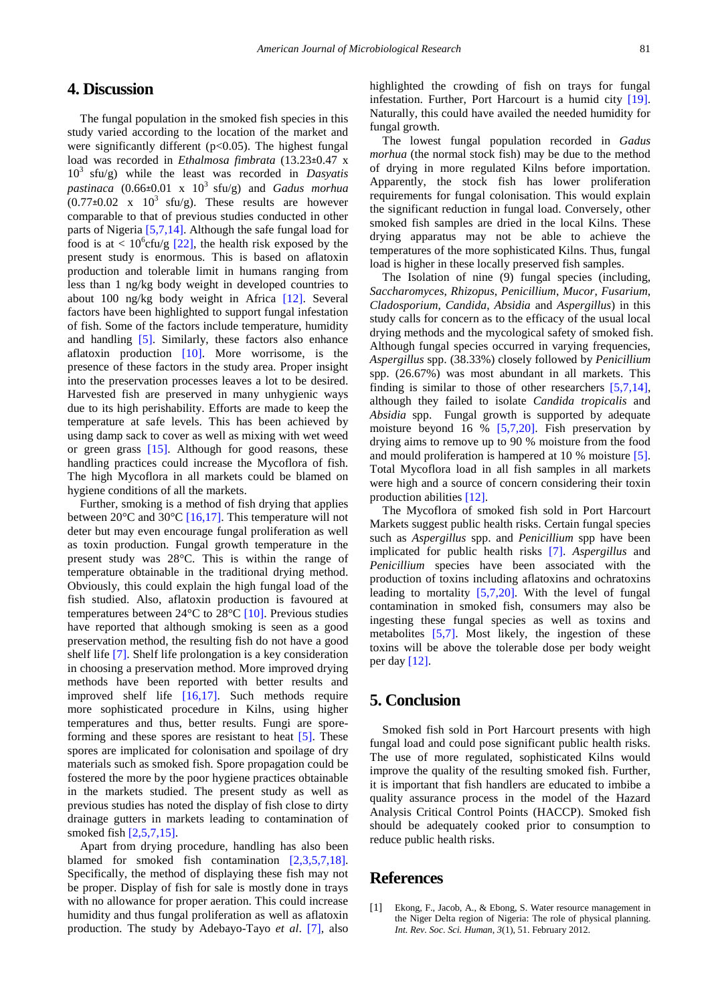# **4. Discussion**

The fungal population in the smoked fish species in this study varied according to the location of the market and were significantly different  $(p<0.05)$ . The highest fungal load was recorded in *Ethalmosa fimbrata* (13.23±0.47 x 103 sfu/g) while the least was recorded in *Dasyatis pastinaca* (0.66±0.01 x  $10^3$  sfu/g) and *Gadus morhua*  $(0.77\pm0.02 \times 10^3 \text{ sftu/g})$ . These results are however comparable to that of previous studies conducted in other parts of Nigeria [\[5,7,14\].](#page-4-1) Although the safe fungal load for food is at  $\langle 10^6$ cfu/g [\[22\],](#page-4-10) the health risk exposed by the present study is enormous. This is based on aflatoxin production and tolerable limit in humans ranging from less than 1 ng/kg body weight in developed countries to about 100 ng/kg body weight in Africa [\[12\].](#page-4-8) Several factors have been highlighted to support fungal infestation of fish. Some of the factors include temperature, humidity and handling [\[5\].](#page-4-1) Similarly, these factors also enhance aflatoxin production [\[10\].](#page-4-6) More worrisome, is the presence of these factors in the study area. Proper insight into the preservation processes leaves a lot to be desired. Harvested fish are preserved in many unhygienic ways due to its high perishability. Efforts are made to keep the temperature at safe levels. This has been achieved by using damp sack to cover as well as mixing with wet weed or green grass [\[15\].](#page-4-11) Although for good reasons, these handling practices could increase the Mycoflora of fish. The high Mycoflora in all markets could be blamed on hygiene conditions of all the markets.

Further, smoking is a method of fish drying that applies between  $20^{\circ}$ C and  $30^{\circ}$ C [\[16,17\].](#page-4-12) This temperature will not deter but may even encourage fungal proliferation as well as toxin production. Fungal growth temperature in the present study was 28°C. This is within the range of temperature obtainable in the traditional drying method. Obviously, this could explain the high fungal load of the fish studied. Also, aflatoxin production is favoured at temperatures between 24°C to 28°C [\[10\].](#page-4-6) Previous studies have reported that although smoking is seen as a good preservation method, the resulting fish do not have a good shelf life [\[7\].](#page-4-2) Shelf life prolongation is a key consideration in choosing a preservation method. More improved drying methods have been reported with better results and improved shelf life [\[16,17\].](#page-4-12) Such methods require more sophisticated procedure in Kilns, using higher temperatures and thus, better results. Fungi are sporeforming and these spores are resistant to heat [\[5\].](#page-4-1) These spores are implicated for colonisation and spoilage of dry materials such as smoked fish. Spore propagation could be fostered the more by the poor hygiene practices obtainable in the markets studied. The present study as well as previous studies has noted the display of fish close to dirty drainage gutters in markets leading to contamination of smoked fish [\[2,5,7,15\].](#page-4-0)

Apart from drying procedure, handling has also been blamed for smoked fish contamination [\[2,3,5,7,18\].](#page-4-0) Specifically, the method of displaying these fish may not be proper. Display of fish for sale is mostly done in trays with no allowance for proper aeration. This could increase humidity and thus fungal proliferation as well as aflatoxin production. The study by Adebayo-Tayo *et al*. [\[7\],](#page-4-2) also

highlighted the crowding of fish on trays for fungal infestation. Further, Port Harcourt is a humid city [\[19\].](#page-4-13) Naturally, this could have availed the needed humidity for fungal growth.

The lowest fungal population recorded in *Gadus morhua* (the normal stock fish) may be due to the method of drying in more regulated Kilns before importation. Apparently, the stock fish has lower proliferation requirements for fungal colonisation. This would explain the significant reduction in fungal load. Conversely, other smoked fish samples are dried in the local Kilns. These drying apparatus may not be able to achieve the temperatures of the more sophisticated Kilns. Thus, fungal load is higher in these locally preserved fish samples.

The Isolation of nine (9) fungal species (including, *Saccharomyces*, *Rhizopus*, *Penicillium*, *Mucor*, *Fusarium*, *Cladosporium*, *Candida*, *Absidia* and *Aspergillus*) in this study calls for concern as to the efficacy of the usual local drying methods and the mycological safety of smoked fish. Although fungal species occurred in varying frequencies, *Aspergillus* spp. (38.33%) closely followed by *Penicillium*  spp. (26.67%) was most abundant in all markets. This finding is similar to those of other researchers [\[5,7,14\],](#page-4-1) although they failed to isolate *Candida tropicalis* and *Absidia* spp. Fungal growth is supported by adequate moisture beyond 16 %  $[5,7,20]$ . Fish preservation by drying aims to remove up to 90 % moisture from the food and mould proliferation is hampered at 10 % moisture [\[5\].](#page-4-1) Total Mycoflora load in all fish samples in all markets were high and a source of concern considering their toxin production abilities [\[12\].](#page-4-8)

The Mycoflora of smoked fish sold in Port Harcourt Markets suggest public health risks. Certain fungal species such as *Aspergillus* spp. and *Penicillium* spp have been implicated for public health risks [\[7\].](#page-4-2) *Aspergillus* and *Penicillium* species have been associated with the production of toxins including aflatoxins and ochratoxins leading to mortality [\[5,7,20\].](#page-4-1) With the level of fungal contamination in smoked fish, consumers may also be ingesting these fungal species as well as toxins and metabolites [\[5,7\].](#page-4-1) Most likely, the ingestion of these toxins will be above the tolerable dose per body weight per da[y \[12\].](#page-4-8)

## **5. Conclusion**

Smoked fish sold in Port Harcourt presents with high fungal load and could pose significant public health risks. The use of more regulated, sophisticated Kilns would improve the quality of the resulting smoked fish. Further, it is important that fish handlers are educated to imbibe a quality assurance process in the model of the Hazard Analysis Critical Control Points (HACCP). Smoked fish should be adequately cooked prior to consumption to reduce public health risks.

#### **References**

<span id="page-3-0"></span>[1] Ekong, F., Jacob, A., & Ebong, S. Water resource management in the Niger Delta region of Nigeria: The role of physical planning. *Int. Rev. Soc. Sci. Human*, *3*(1), 51. February 2012.